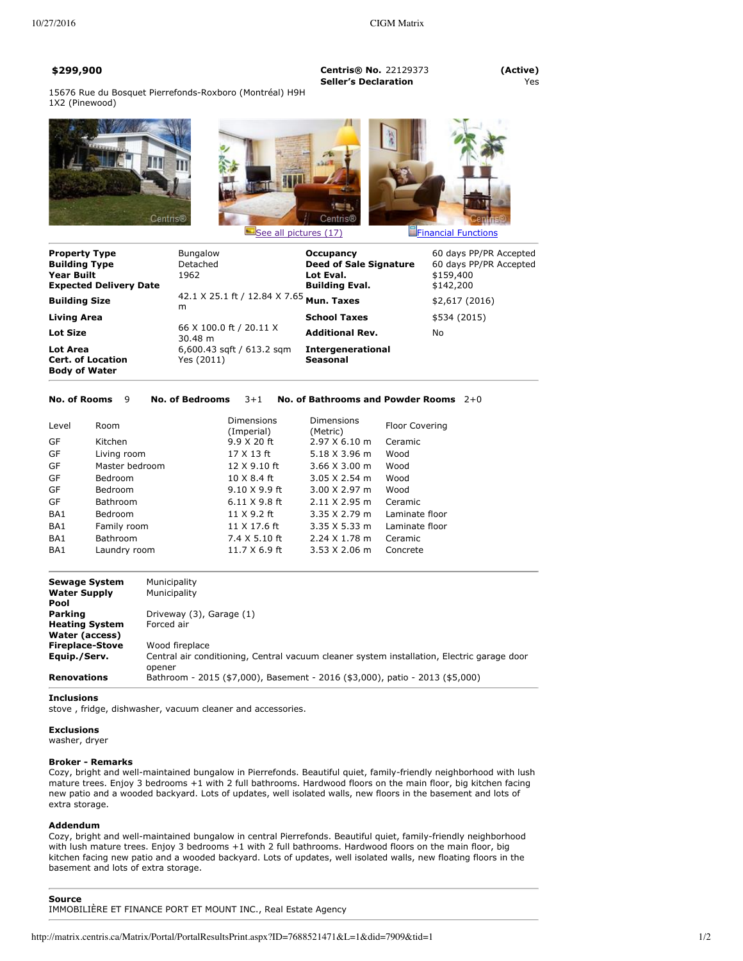**\$299,900 Centris® No.** 22129373 **(Active) Seller's Declaration** Yes

15676 Rue du Bosquet Pierrefonds-Roxboro (Montréal) H9H 1X2 (Pinewood)







| <b>Property Type</b><br><b>Building Type</b><br><b>Year Built</b><br><b>Expected Delivery Date</b> | <b>Bungalow</b><br>Detached<br>1962           | Occupancy<br><b>Deed of Sale Signature</b><br>Lot Eval.<br><b>Building Eval.</b> | 60 days PP/PR Accepted<br>60 days PP/PR Accepted<br>\$159,400<br>\$142,200 |
|----------------------------------------------------------------------------------------------------|-----------------------------------------------|----------------------------------------------------------------------------------|----------------------------------------------------------------------------|
| <b>Building Size</b>                                                                               | 42.1 X 25.1 ft / 12.84 X 7.65 Mun. Taxes<br>m |                                                                                  | \$2,617(2016)                                                              |
| Living Area                                                                                        |                                               | <b>School Taxes</b>                                                              | \$534 (2015)                                                               |
| <b>Lot Size</b>                                                                                    | 66 X 100.0 ft / 20.11 X<br>$30.48 \; m$       | <b>Additional Rev.</b>                                                           | No.                                                                        |
| Lot Area<br><b>Cert. of Location</b><br><b>Body of Water</b>                                       | $6,600.43$ sqft / 613.2 sqm<br>Yes (2011)     | <b>Intergenerational</b><br>Seasonal                                             |                                                                            |

#### **No. of Rooms** 9 **No. of Bedrooms** 3+1 **No. of Bathrooms and Powder Rooms** 2+0

| Level | Room            | <b>Dimensions</b><br>(Imperial) | Dimensions<br>(Metric)       | <b>Floor Covering</b> |
|-------|-----------------|---------------------------------|------------------------------|-----------------------|
| GF    | Kitchen         | 9.9 X 20 ft                     | 2.97 X 6.10 m                | Ceramic               |
| GF    | Living room     | 17 X 13 ft                      | 5.18 X 3.96 m                | Wood                  |
| GF    | Master bedroom  | 12 X 9.10 ft                    | $3.66 \times 3.00 \text{ m}$ | Wood                  |
| GF    | Bedroom         | 10 X 8.4 ft                     | $3.05 \times 2.54$ m         | Wood                  |
| GF    | <b>Bedroom</b>  | 9.10 X 9.9 ft                   | $3.00 \times 2.97$ m         | Wood                  |
| GF    | Bathroom        | $6.11 \times 9.8$ ft            | $2.11 \times 2.95$ m         | Ceramic               |
| BA1   | Bedroom         | 11 X 9.2 ft                     | $3.35 \times 2.79$ m         | Laminate floor        |
| BA1   | Family room     | 11 X 17.6 ft                    | $3.35 \times 5.33$ m         | Laminate floor        |
| BA1   | <b>Bathroom</b> | 7.4 X 5.10 ft                   | $2.24 \times 1.78$ m         | Ceramic               |
| BA1   | Laundry room    | 11.7 X 6.9 ft                   | $3.53 \times 2.06$ m         | Concrete              |

| <b>Sewage System</b><br><b>Water Supply</b><br>Pool | Municipality<br>Municipality                                                                         |
|-----------------------------------------------------|------------------------------------------------------------------------------------------------------|
| Parking                                             | Driveway (3), Garage (1)                                                                             |
| <b>Heating System</b><br>Water (access)             | Forced air                                                                                           |
| <b>Fireplace-Stove</b>                              | Wood fireplace                                                                                       |
| Equip./Serv.                                        | Central air conditioning, Central vacuum cleaner system installation, Electric garage door<br>opener |
| <b>Renovations</b>                                  | Bathroom - 2015 (\$7,000), Basement - 2016 (\$3,000), patio - 2013 (\$5,000)                         |

**Inclusions**

stove , fridge, dishwasher, vacuum cleaner and accessories.

## **Exclusions**

washer, dryer

## **Broker Remarks**

Cozy, bright and well-maintained bungalow in Pierrefonds. Beautiful quiet, family-friendly neighborhood with lush mature trees. Enjoy 3 bedrooms +1 with 2 full bathrooms. Hardwood floors on the main floor, big kitchen facing new patio and a wooded backyard. Lots of updates, well isolated walls, new floors in the basement and lots of extra storage.

# **Addendum**

Cozy, bright and well-maintained bungalow in central Pierrefonds. Beautiful quiet, family-friendly neighborhood with lush mature trees. Enjoy 3 bedrooms +1 with 2 full bathrooms. Hardwood floors on the main floor, big kitchen facing new patio and a wooded backyard. Lots of updates, well isolated walls, new floating floors in the basement and lots of extra storage.